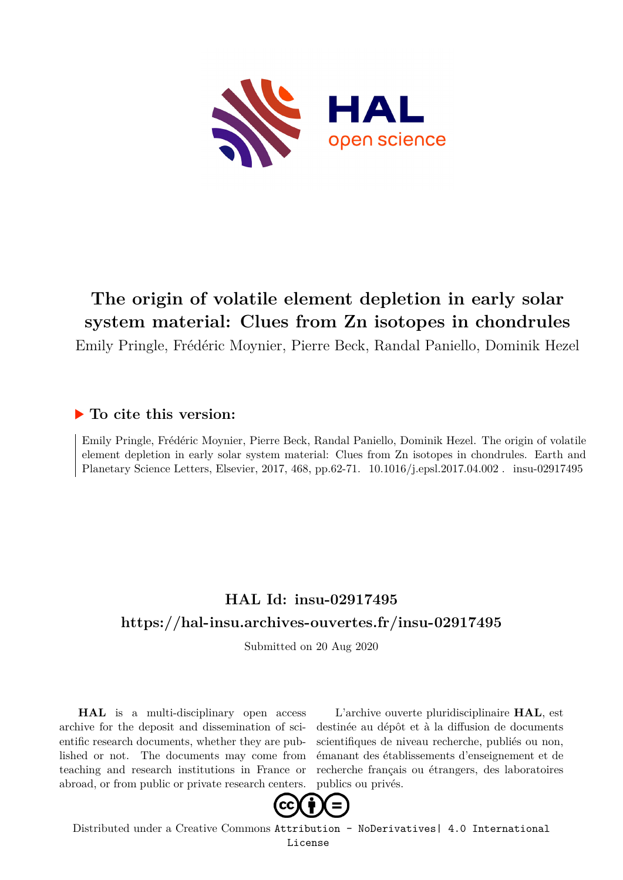

# **The origin of volatile element depletion in early solar system material: Clues from Zn isotopes in chondrules**

Emily Pringle, Frédéric Moynier, Pierre Beck, Randal Paniello, Dominik Hezel

### **To cite this version:**

Emily Pringle, Frédéric Moynier, Pierre Beck, Randal Paniello, Dominik Hezel. The origin of volatile element depletion in early solar system material: Clues from Zn isotopes in chondrules. Earth and Planetary Science Letters, Elsevier, 2017, 468, pp.62-71. 10.1016/j.epsl.2017.04.002. insu-02917495

# **HAL Id: insu-02917495 <https://hal-insu.archives-ouvertes.fr/insu-02917495>**

Submitted on 20 Aug 2020

**HAL** is a multi-disciplinary open access archive for the deposit and dissemination of scientific research documents, whether they are published or not. The documents may come from teaching and research institutions in France or abroad, or from public or private research centers.

L'archive ouverte pluridisciplinaire **HAL**, est destinée au dépôt et à la diffusion de documents scientifiques de niveau recherche, publiés ou non, émanant des établissements d'enseignement et de recherche français ou étrangers, des laboratoires publics ou privés.



Distributed under a Creative Commons [Attribution - NoDerivatives| 4.0 International](http://creativecommons.org/licenses/by-nd/4.0/) [License](http://creativecommons.org/licenses/by-nd/4.0/)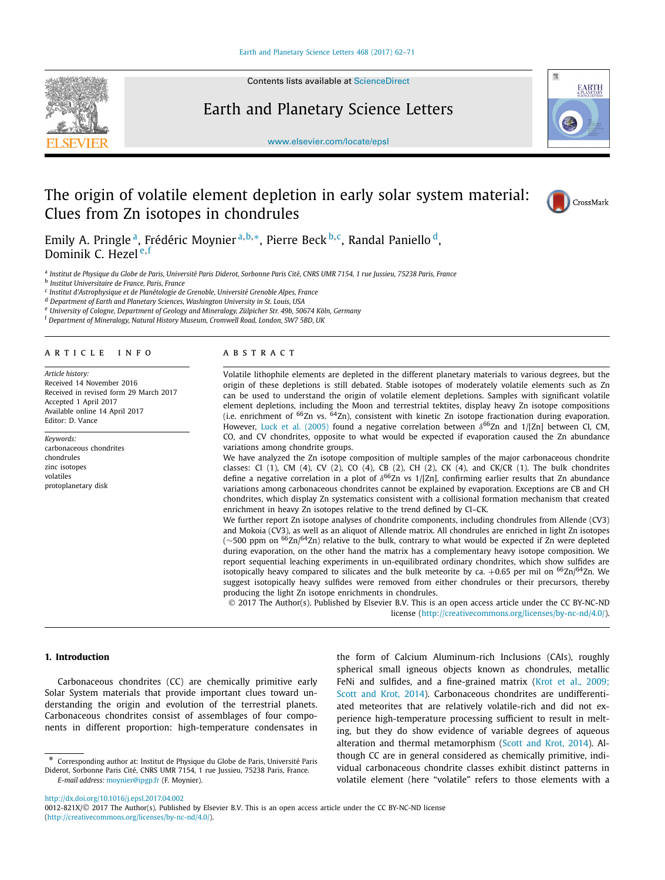

Contents lists available at [ScienceDirect](http://www.ScienceDirect.com/)

Earth and Planetary Science Letters



[www.elsevier.com/locate/epsl](http://www.elsevier.com/locate/epsl)

## The origin of volatile element depletion in early solar system material: Clues from Zn isotopes in chondrules



Emily A. Pringle a, Frédéric Moynier <sup>a</sup>*,*b*,*∗, Pierre Beck <sup>b</sup>*,*c, Randal Paniello d, Dominik C. Hezel <sup>e</sup>*,*<sup>f</sup>

<sup>a</sup> Institut de Physique du Globe de Paris, Université Paris Diderot, Sorbonne Paris Cité, CNRS UMR 7154, 1 rue Jussieu, 75238 Paris, France

<sup>b</sup> *Institut Universitaire de France, Paris, France*

<sup>c</sup> *Institut d'Astrophysique et de Planétologie de Grenoble, Université Grenoble Alpes, France*

<sup>d</sup> *Department of Earth and Planetary Sciences, Washington University in St. Louis, USA*

<sup>e</sup> *University of Cologne, Department of Geology and Mineralogy, Zülpicher Str. 49b, 50674 Köln, Germany*

<sup>f</sup> *Department of Mineralogy, Natural History Museum, Cromwell Road, London, SW7 5BD, UK*

#### A R T I C L E I N F O A B S T R A C T

*Article history:* Received 14 November 2016 Received in revised form 29 March 2017 Accepted 1 April 2017 Available online 14 April 2017 Editor: D. Vance

*Keywords:* carbonaceous chondrites chondrules zinc isotopes volatiles protoplanetary disk

Volatile lithophile elements are depleted in the different planetary materials to various degrees, but the origin of these depletions is still debated. Stable isotopes of moderately volatile elements such as Zn can be used to understand the origin of volatile element depletions. Samples with significant volatile element depletions, including the Moon and terrestrial tektites, display heavy Zn isotope compositions (i.e. enrichment of 66Zn vs. 64Zn), consistent with kinetic Zn isotope fractionation during evaporation. However, Luck et al. (2005) found a negative correlation between  $δ^{66}Zn$  and 1/[Zn] between CI, CM, CO, and CV chondrites, opposite to what would be expected if evaporation caused the Zn abundance variations among chondrite groups.

We have analyzed the Zn isotope composition of multiple samples of the major carbonaceous chondrite classes: CI (1), CM (4), CV (2), CO (4), CB (2), CH (2), CK (4), and CK/CR (1). The bulk chondrites define a negative correlation in a plot of  $\delta^{66}Zn$  vs 1/[Zn], confirming earlier results that Zn abundance variations among carbonaceous chondrites cannot be explained by evaporation. Exceptions are CB and CH chondrites, which display Zn systematics consistent with a collisional formation mechanism that created enrichment in heavy Zn isotopes relative to the trend defined by CI–CK.

We further report Zn isotope analyses of chondrite components, including chondrules from Allende (CV3) and Mokoia (CV3), as well as an aliquot of Allende matrix. All chondrules are enriched in light Zn isotopes (∼500 ppm on <sup>66</sup>Zn/<sup>64</sup>Zn) relative to the bulk, contrary to what would be expected if Zn were depleted during evaporation, on the other hand the matrix has a complementary heavy isotope composition. We report sequential leaching experiments in un-equilibrated ordinary chondrites, which show sulfides are isotopically heavy compared to silicates and the bulk meteorite by ca. +0.65 per mil on  $^{66} \text{Zn}$ /64Zn. We suggest isotopically heavy sulfides were removed from either chondrules or their precursors, thereby producing the light Zn isotope enrichments in chondrules.

© 2017 The Author(s). Published by Elsevier B.V. This is an open access article under the CC BY-NC-ND license [\(http://creativecommons.org/licenses/by-nc-nd/4.0/](http://creativecommons.org/licenses/by-nc-nd/4.0/)).

### **1. Introduction**

Carbonaceous chondrites (CC) are chemically primitive early Solar System materials that provide important clues toward understanding the origin and evolution of the terrestrial planets. Carbonaceous chondrites consist of assemblages of four components in different proportion: high-temperature condensates in the form of Calcium Aluminum-rich Inclusions (CAIs), roughly spherical small igneous objects known as chondrules, metallic FeNi and sulfides, and a fine-grained matrix (Krot et al., 2009; Scott and Krot, [2014\)](#page-9-0). Carbonaceous chondrites are undifferentiated meteorites that are relatively volatile-rich and did not experience high-temperature processing sufficient to result in melting, but they do show evidence of variable degrees of aqueous alteration and thermal metamorphism (Scott and Krot, 2014). Although CC are in general considered as chemically primitive, individual carbonaceous chondrite classes exhibit distinct patterns in volatile element (here "volatile" refers to those elements with a

<http://dx.doi.org/10.1016/j.epsl.2017.04.002> 0012-821X/© 2017 The Author(s). Published by Elsevier B.V. This is an open access article under the CC BY-NC-ND license [\(http://creativecommons.org/licenses/by-nc-nd/4.0/\)](http://creativecommons.org/licenses/by-nc-nd/4.0/).

Corresponding author at: Institut de Physique du Globe de Paris, Université Paris Diderot, Sorbonne Paris Cité, CNRS UMR 7154, 1 rue Jussieu, 75238 Paris, France. *E-mail address:* [moynier@ipgp.fr](mailto:moynier@ipgp.fr) (F. Moynier).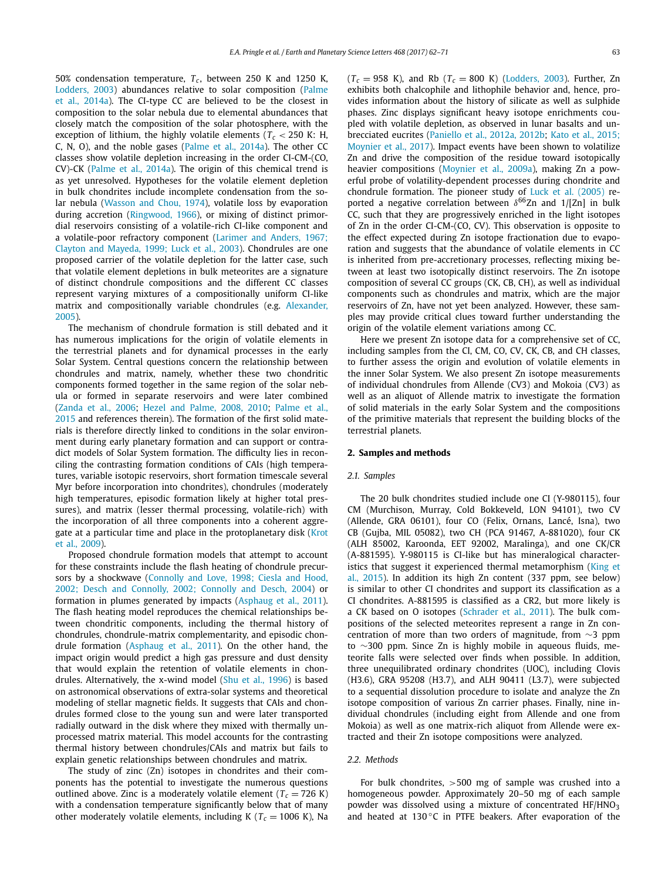50% condensation temperature,  $T_c$ , between 250 K and 1250 K, Lodders, 2003) abundances relative to solar composition (Palme et al., [2014a\)](#page-9-0). The CI-type CC are believed to be the closest in composition to the solar nebula due to elemental abundances that closely match the composition of the solar photosphere, with the exception of lithium, the highly volatile elements ( $T_c$  < 250 K: H, C, N, O), and the noble gases (Palme et al., 2014a). The other CC classes show volatile depletion increasing in the order CI-CM-(CO, CV)-CK (Palme et al., 2014a). The origin of this chemical trend is as yet unresolved. Hypotheses for the volatile element depletion in bulk chondrites include incomplete condensation from the solar nebula (Wasson and Chou, 1974), volatile loss by evaporation during accretion (Ringwood, 1966), or mixing of distinct primordial reservoirs consisting of a volatile-rich CI-like component and a volatile-poor refractory component (Larimer and Anders, 1967; Clayton and Mayeda, [1999; Luck](#page-9-0) et al., 2003). Chondrules are one proposed carrier of the volatile depletion for the latter case, such that volatile element depletions in bulk meteorites are a signature of distinct chondrule compositions and the different CC classes represent varying mixtures of a compositionally uniform CI-like matrix and compositionally variable chondrules (e.g. Alexander, [2005\)](#page-9-0).

The mechanism of chondrule formation is still debated and it has numerous implications for the origin of volatile elements in the terrestrial planets and for dynamical processes in the early Solar System. Central questions concern the relationship between chondrules and matrix, namely, whether these two chondritic components formed together in the same region of the solar nebula or formed in separate reservoirs and were later combined (Zanda et al., 2006; Hezel and Palme, 2008, 2010; Palme et al., [2015](#page-10-0) and references therein). The formation of the first solid materials is therefore directly linked to conditions in the solar environment during early planetary formation and can support or contradict models of Solar System formation. The difficulty lies in reconciling the contrasting formation conditions of CAIs (high temperatures, variable isotopic reservoirs, short formation timescale several Myr before incorporation into chondrites), chondrules (moderately high temperatures, episodic formation likely at higher total pressures), and matrix (lesser thermal processing, volatile-rich) with the incorporation of all three components into a coherent aggregate at a particular time and place in the protoplanetary disk (Krot et al., [2009\)](#page-9-0).

Proposed chondrule formation models that attempt to account for these constraints include the flash heating of chondrule precursors by a shockwave (Connolly and Love, 1998; Ciesla and Hood, 2002; Desch and Connolly, [2002; Connolly](#page-9-0) and Desch, 2004) or formation in plumes generated by impacts (Asphaug et al., 2011). The flash heating model reproduces the chemical relationships between chondritic components, including the thermal history of chondrules, chondrule-matrix complementarity, and episodic chondrule formation (Asphaug et al., 2011). On the other hand, the impact origin would predict a high gas pressure and dust density that would explain the retention of volatile elements in chondrules. Alternatively, the x-wind model (Shu et al., 1996) is based on astronomical observations of extra-solar systems and theoretical modeling of stellar magnetic fields. It suggests that CAIs and chondrules formed close to the young sun and were later transported radially outward in the disk where they mixed with thermally unprocessed matrix material. This model accounts for the contrasting thermal history between chondrules/CAIs and matrix but fails to explain genetic relationships between chondrules and matrix.

The study of zinc (Zn) isotopes in chondrites and their components has the potential to investigate the numerous questions outlined above. Zinc is a moderately volatile element ( $T_c = 726$  K) with a condensation temperature significantly below that of many other moderately volatile elements, including K ( $T_c$  = 1006 K), Na  $(T_c = 958 \text{ K})$ , and Rb  $(T_c = 800 \text{ K})$  (Lodders, 2003). Further, Zn exhibits both chalcophile and lithophile behavior and, hence, provides information about the history of silicate as well as sulphide phases. Zinc displays significant heavy isotope enrichments coupled with volatile depletion, as observed in lunar basalts and unbrecciated eucrites (Paniello et al., 2012a, 2012b; Kato et al., 2015; [Moynier](#page-9-0) et al., 2017). Impact events have been shown to volatilize Zn and drive the composition of the residue toward isotopically heavier compositions (Moynier et al., 2009a), making Zn a powerful probe of volatility-dependent processes during chondrite and chondrule formation. The pioneer study of Luck et al. (2005) reported a negative correlation between  $\delta^{66}$ Zn and 1/<sup>[Zn]</sup> in bulk CC, such that they are progressively enriched in the light isotopes of Zn in the order CI-CM-(CO, CV). This observation is opposite to the effect expected during Zn isotope fractionation due to evaporation and suggests that the abundance of volatile elements in CC is inherited from pre-accretionary processes, reflecting mixing between at least two isotopically distinct reservoirs. The Zn isotope composition of several CC groups (CK, CB, CH), as well as individual components such as chondrules and matrix, which are the major reservoirs of Zn, have not yet been analyzed. However, these samples may provide critical clues toward further understanding the origin of the volatile element variations among CC.

Here we present Zn isotope data for a comprehensive set of CC, including samples from the CI, CM, CO, CV, CK, CB, and CH classes, to further assess the origin and evolution of volatile elements in the inner Solar System. We also present Zn isotope measurements of individual chondrules from Allende (CV3) and Mokoia (CV3) as well as an aliquot of Allende matrix to investigate the formation of solid materials in the early Solar System and the compositions of the primitive materials that represent the building blocks of the terrestrial planets.

#### **2. Samples and methods**

#### *2.1. Samples*

The 20 bulk chondrites studied include one CI (Y-980115), four CM (Murchison, Murray, Cold Bokkeveld, LON 94101), two CV (Allende, GRA 06101), four CO (Felix, Ornans, Lancé, Isna), two CB (Gujba, MIL 05082), two CH (PCA 91467, A-881020), four CK (ALH 85002, Karoonda, EET 92002, Maralinga), and one CK/CR (A-881595). Y-980115 is CI-like but has mineralogical characteristics that suggest it experienced thermal metamorphism (King et al., [2015\)](#page-9-0). In addition its high Zn content (337 ppm, see below) is similar to other CI chondrites and support its classification as a CI chondrites. A-881595 is classified as a CR2, but more likely is a CK based on O isotopes (Schrader et al., 2011). The bulk compositions of the selected meteorites represent a range in Zn concentration of more than two orders of magnitude, from ∼3 ppm to ∼300 ppm. Since Zn is highly mobile in aqueous fluids, meteorite falls were selected over finds when possible. In addition, three unequilibrated ordinary chondrites (UOC), including Clovis (H3.6), GRA 95208 (H3.7), and ALH 90411 (L3.7), were subjected to a sequential dissolution procedure to isolate and analyze the Zn isotope composition of various Zn carrier phases. Finally, nine individual chondrules (including eight from Allende and one from Mokoia) as well as one matrix-rich aliquot from Allende were extracted and their Zn isotope compositions were analyzed.

#### *2.2. Methods*

For bulk chondrites, *>*500 mg of sample was crushed into a homogeneous powder. Approximately 20–50 mg of each sample powder was dissolved using a mixture of concentrated  $HF/HNO<sub>3</sub>$ and heated at  $130\degree$ C in PTFE beakers. After evaporation of the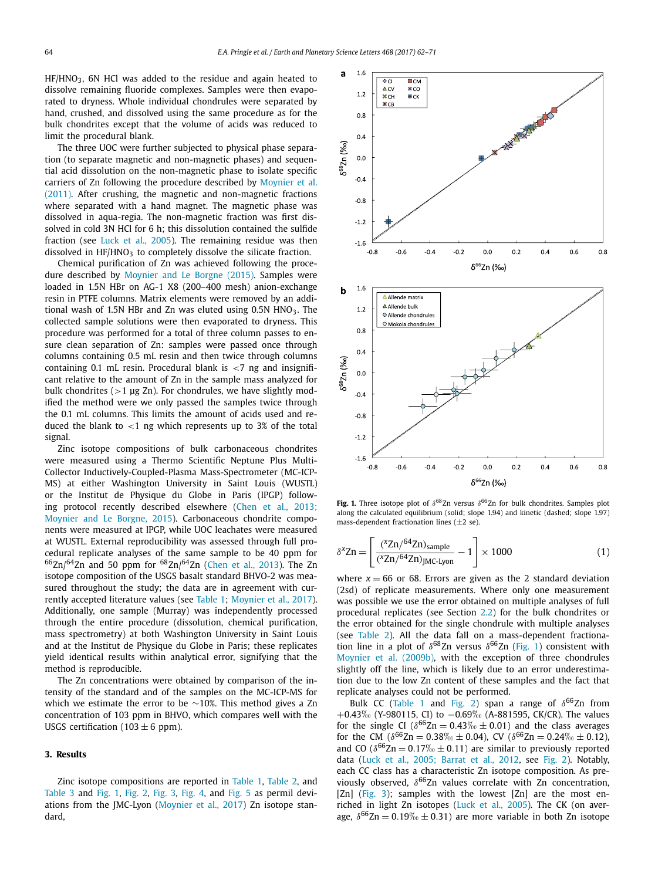HF/HNO3, 6N HCl was added to the residue and again heated to dissolve remaining fluoride complexes. Samples were then evaporated to dryness. Whole individual chondrules were separated by hand, crushed, and dissolved using the same procedure as for the bulk chondrites except that the volume of acids was reduced to limit the procedural blank.

The three UOC were further subjected to physical phase separation (to separate magnetic and non-magnetic phases) and sequential acid dissolution on the non-magnetic phase to isolate specific carriers of Zn following the procedure described by Moynier et al. [\(2011\).](#page-9-0) After crushing, the magnetic and non-magnetic fractions where separated with a hand magnet. The magnetic phase was dissolved in aqua-regia. The non-magnetic fraction was first dissolved in cold 3N HCl for 6 h; this dissolution contained the sulfide fraction (see Luck et al., 2005). The remaining residue was then dissolved in  $HF/HNO<sub>3</sub>$  to completely dissolve the silicate fraction.

Chemical purification of Zn was achieved following the procedure described by Moynier and Le Borgne (2015). Samples were loaded in 1.5N HBr on AG-1 X8 (200–400 mesh) anion-exchange resin in PTFE columns. Matrix elements were removed by an additional wash of 1.5N HBr and Zn was eluted using  $0.5N$  HNO<sub>3</sub>. The collected sample solutions were then evaporated to dryness. This procedure was performed for a total of three column passes to ensure clean separation of Zn: samples were passed once through columns containing 0.5 mL resin and then twice through columns containing 0.1 mL resin. Procedural blank is *<*7 ng and insignificant relative to the amount of Zn in the sample mass analyzed for bulk chondrites (*>*1 μg Zn). For chondrules, we have slightly modified the method were we only passed the samples twice through the 0.1 mL columns. This limits the amount of acids used and reduced the blank to *<*1 ng which represents up to 3% of the total signal.

Zinc isotope compositions of bulk carbonaceous chondrites were measured using a Thermo Scientific Neptune Plus Multi-Collector Inductively-Coupled-Plasma Mass-Spectrometer (MC-ICP-MS) at either Washington University in Saint Louis (WUSTL) or the Institut de Physique du Globe in Paris (IPGP) following protocol recently described elsewhere (Chen et al., 2013; [Moynier](#page-9-0) and Le Borgne, 2015). Carbonaceous chondrite components were measured at IPGP, while UOC leachates were measured at WUSTL. External reproducibility was assessed through full procedural replicate analyses of the same sample to be 40 ppm for  $66Zn/64Zn$  and 50 ppm for  $68Zn/64Zn$  (Chen et al., 2013). The Zn isotope composition of the USGS basalt standard BHVO-2 was measured throughout the study; the data are in agreement with currently accepted literature values (see Table 1; Moynier et al., 2017). Additionally, one sample (Murray) was independently processed through the entire procedure (dissolution, chemical purification, mass spectrometry) at both Washington University in Saint Louis and at the Institut de Physique du Globe in Paris; these replicates yield identical results within analytical error, signifying that the method is reproducible.

The Zn concentrations were obtained by comparison of the intensity of the standard and of the samples on the MC-ICP-MS for which we estimate the error to be ∼10%. This method gives a Zn concentration of 103 ppm in BHVO, which compares well with the USGS certification (103  $\pm$  6 ppm).

#### **3. Results**

Zinc isotope compositions are reported in Table 1, Table 2, and Table 3 and Fig. 1, Fig. 2, Fig. 3, Fig. 4, and Fig. 5 as permil deviations from the JMC-Lyon (Moynier et al., 2017) Zn isotope standard,



**Fig. 1.** Three isotope plot of  $\delta^{68}$ Zn versus  $\delta^{66}$ Zn for bulk chondrites. Samples plot along the calculated equilibrium (solid; slope 1.94) and kinetic (dashed; slope 1.97) mass-dependent fractionation lines  $(\pm 2 \text{ se})$ .

$$
\delta^{x} Zn = \left[ \frac{(^{x}Zn/^{64}Zn)_{sample}}{(^{x}Zn/^{64}Zn)_{JMC-Lyon}} - 1 \right] \times 1000
$$
 (1)

where  $x = 66$  or 68. Errors are given as the 2 standard deviation (2sd) of replicate measurements. Where only one measurement was possible we use the error obtained on multiple analyses of full procedural replicates (see Section 2.2) for the bulk chondrites or the error obtained for the single chondrule with multiple analyses (see Table 2). All the data fall on a mass-dependent fractionation line in a plot of  $\delta^{68}$ Zn versus  $\delta^{66}$ Zn (Fig. 1) consistent with Moynier et al. (2009b), with the exception of three chondrules slightly off the line, which is likely due to an error underestimation due to the low Zn content of these samples and the fact that replicate analyses could not be performed.

Bulk CC (Table 1 and Fig. 2) span a range of  $δ^{66}Zn$  from +0.43‰ (Y-980115, CI) to -0.69‰ (A-881595, CK/CR). The values for the single CI ( $\delta^{66}Zn = 0.43\% \pm 0.01$ ) and the class averages for the CM ( $\delta^{66}Zn = 0.38\% \pm 0.04$ ), CV ( $\delta^{66}Zn = 0.24\% \pm 0.12$ ), and CO ( $\delta^{66}$ Zn = 0.17\% ± 0.11) are similar to previously reported data (Luck et al., 2005; Barrat et al., 2012, see Fig. 2). Notably, each CC class has a characteristic Zn isotope composition. As previously observed,  $\delta^{66}$ Zn values correlate with Zn concentration, [Zn] (Fig. 3); samples with the lowest [Zn] are the most enriched in light Zn isotopes (Luck et al., 2005). The CK (on average,  $\delta^{66}$ Zn = 0.19‰  $\pm$  0.31) are more variable in both Zn isotope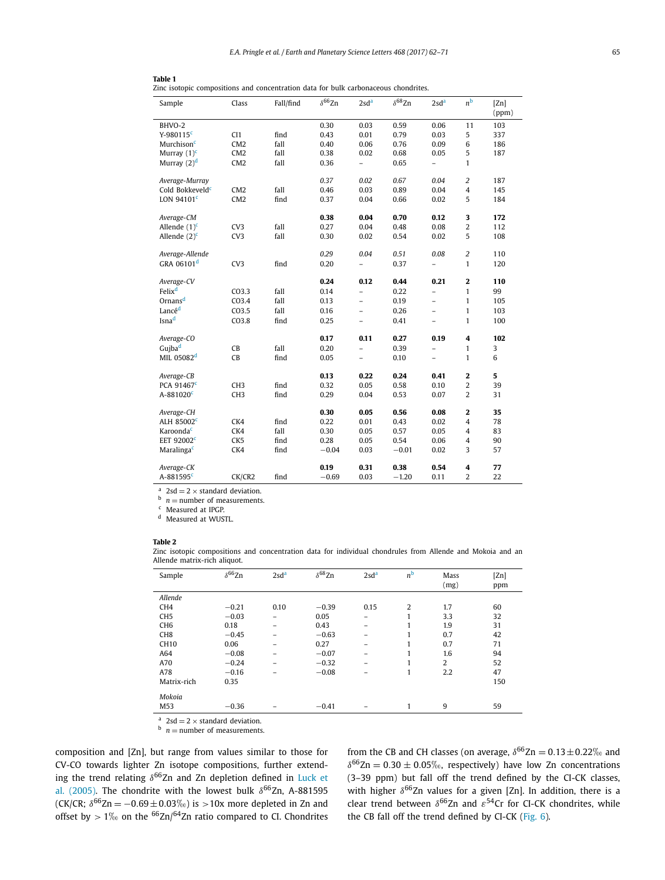| Sample                      | Class             | Fall/find | $\delta^{66}$ Zn | 2sd <sup>a</sup>         | $\delta^{68}$ Zn | 2sd <sup>a</sup>         | n <sup>b</sup>          | [Zn]<br>(ppm) |
|-----------------------------|-------------------|-----------|------------------|--------------------------|------------------|--------------------------|-------------------------|---------------|
| BHVO-2                      |                   |           | 0.30             | 0.03                     | 0.59             | 0.06                     | 11                      | 103           |
| $Y-980115c$                 | CI1               | find      | 0.43             | 0.01                     | 0.79             | 0.03                     | 5                       | 337           |
| Murchison <sup>c</sup>      | CM2               | fall      | 0.40             | 0.06                     | 0.76             | 0.09                     | 6                       | 186           |
| Murray $(1)^{c}$            | CM <sub>2</sub>   | fall      | 0.38             | 0.02                     | 0.68             | 0.05                     | 5                       | 187           |
| Murray $(2)^d$              | CM2               | fall      | 0.36             | $\overline{a}$           | 0.65             | $\overline{\phantom{0}}$ | $\mathbf{1}$            |               |
| Average-Murray              |                   |           | 0.37             | 0.02                     | 0.67             | 0.04                     | $\overline{c}$          | 187           |
| Cold Bokkeveld <sup>c</sup> | CM2               | fall      | 0.46             | 0.03                     | 0.89             | 0.04                     | $\overline{4}$          | 145           |
| LON 94101 $c$               | CM <sub>2</sub>   | find      | 0.37             | 0.04                     | 0.66             | 0.02                     | 5                       | 184           |
| Average-CM                  |                   |           | 0.38             | 0.04                     | 0.70             | 0.12                     | 3                       | 172           |
| Allende $(1)^{c}$           | CV3               | fall      | 0.27             | 0.04                     | 0.48             | 0.08                     | $\overline{c}$          | 112           |
| Allende $(2)^{c}$           | CV3               | fall      | 0.30             | 0.02                     | 0.54             | 0.02                     | 5                       | 108           |
| Average-Allende             |                   |           | 0.29             | 0.04                     | 0.51             | 0.08                     | $\overline{c}$          | 110           |
| GRA 06101 <sup>d</sup>      | CV3               | find      | 0.20             | $\overline{a}$           | 0.37             | $\overline{a}$           | $\mathbf{1}$            | 120           |
| Average-CV                  |                   |           | 0.24             | 0.12                     | 0.44             | 0.21                     | $\mathbf 2$             | 110           |
| Felix <sup>d</sup>          | CO3.3             | fall      | 0.14             | $\overline{a}$           | 0.22             | -                        | $\mathbf{1}$            | 99            |
| Ornans <sup>d</sup>         | CO <sub>3.4</sub> | fall      | 0.13             | $\overline{\phantom{0}}$ | 0.19             | $\overline{\phantom{0}}$ | $\mathbf{1}$            | 105           |
| Lancé <sup>d</sup>          | CO <sub>3.5</sub> | fall      | 0.16             | $\overline{\phantom{0}}$ | 0.26             | $\overline{a}$           | $\mathbf{1}$            | 103           |
| Isna <sup>d</sup>           | CO <sub>3.8</sub> | find      | 0.25             | $\overline{\phantom{0}}$ | 0.41             | $\overline{\phantom{0}}$ | $\mathbf{1}$            | 100           |
| Average-CO                  |                   |           | 0.17             | 0.11                     | 0.27             | 0.19                     | 4                       | 102           |
| Gujba <sup>d</sup>          | CB                | fall      | 0.20             | $\overline{a}$           | 0.39             | $\overline{a}$           | $\mathbf{1}$            | 3             |
| MIL 05082 <sup>d</sup>      | CB                | find      | 0.05             | $\overline{\phantom{0}}$ | 0.10             | -                        | 1                       | 6             |
| Average-CB                  |                   |           | 0.13             | 0.22                     | 0.24             | 0.41                     | $\mathbf 2$             | 5             |
| PCA 91467 <sup>c</sup>      | CH <sub>3</sub>   | find      | 0.32             | 0.05                     | 0.58             | 0.10                     | 2                       | 39            |
| A-881020 <sup>c</sup>       | CH <sub>3</sub>   | find      | 0.29             | 0.04                     | 0.53             | 0.07                     | $\overline{2}$          | 31            |
| Average-CH                  |                   |           | 0.30             | 0.05                     | 0.56             | 0.08                     | 2                       | 35            |
| ALH 85002 <sup>c</sup>      | CK4               | find      | 0.22             | 0.01                     | 0.43             | 0.02                     | $\overline{\mathbf{4}}$ | 78            |
| Karoonda <sup>c</sup>       | CK4               | fall      | 0.30             | 0.05                     | 0.57             | 0.05                     | $\overline{4}$          | 83            |
| EET 92002 <sup>c</sup>      | CK <sub>5</sub>   | find      | 0.28             | 0.05                     | 0.54             | 0.06                     | 4                       | 90            |
| Maralinga <sup>c</sup>      | CK4               | find      | $-0.04$          | 0.03                     | $-0.01$          | 0.02                     | 3                       | 57            |
| Average-CK                  |                   |           | 0.19             | 0.31                     | 0.38             | 0.54                     | 4                       | 77            |
| A-881595 <sup>c</sup>       | CK/CR2            | find      | $-0.69$          | 0.03                     | $-1.20$          | 0.11                     | 2                       | 22            |

 $\frac{a}{b}$  2sd = 2 × standard deviation.<br>
<sup>b</sup> *n* = number of measurements.<br>
<sup>c</sup> Measured at IPGP.

<sup>d</sup> Measured at WUSTL.

#### **Table 2**

Zinc isotopic compositions and concentration data for individual chondrules from Allende and Mokoia and an Allende matrix-rich aliquot.

| Sample          | $\delta^{66}$ Zn | 2sd <sup>a</sup> | $\delta^{68}$ Zn | 2sd <sup>a</sup> | n <sup>b</sup> | Mass<br>(mg) | [Z <sub>n</sub> ]<br>ppm |
|-----------------|------------------|------------------|------------------|------------------|----------------|--------------|--------------------------|
| Allende         |                  |                  |                  |                  |                |              |                          |
| CH <sub>4</sub> | $-0.21$          | 0.10             | $-0.39$          | 0.15             | $\overline{2}$ | 1.7          | 60                       |
| CH <sub>5</sub> | $-0.03$          | $\equiv$         | 0.05             |                  | 1              | 3.3          | 32                       |
| CH <sub>6</sub> | 0.18             | -                | 0.43             |                  | 1              | 1.9          | 31                       |
| CH <sub>8</sub> | $-0.45$          | -                | $-0.63$          |                  | 1              | 0.7          | 42                       |
| <b>CH10</b>     | 0.06             | -                | 0.27             |                  | 1              | 0.7          | 71                       |
| A64             | $-0.08$          | -                | $-0.07$          |                  | 1              | 1.6          | 94                       |
| A70             | $-0.24$          |                  | $-0.32$          |                  | 1              | 2            | 52                       |
| A78             | $-0.16$          |                  | $-0.08$          |                  | 1              | 2.2          | 47                       |
| Matrix-rich     | 0.35             |                  |                  |                  |                |              | 150                      |
| Mokoia          |                  |                  |                  |                  |                |              |                          |
| M53             | $-0.36$          |                  | $-0.41$          |                  | 1              | 9            | 59                       |

<sup>a</sup>  $2sd = 2 \times$  standard deviation.<br><sup>b</sup>  $n =$  number of measurements.

composition and [Zn], but range from values similar to those for CV-CO towards lighter Zn isotope compositions, further extending the trend relating  $δ^{66}Zn$  and Zn depletion defined in Luck et [al. \(2005\).](#page-9-0) The chondrite with the lowest bulk  $\delta^{66}$ Zn, A-881595 (CK/CR;  $δ^{66}Zn = −0.69 ± 0.03%$ ) is > 10x more depleted in Zn and offset by  $> 1\%$  on the <sup>66</sup>Zn/<sup>64</sup>Zn ratio compared to CI. Chondrites

from the CB and CH classes (on average,  $\delta^{66}Zn = 0.13 \pm 0.22\%$  and  $\delta^{66}$ Zn = 0.30  $\pm$  0.05‰, respectively) have low Zn concentrations (3–39 ppm) but fall off the trend defined by the CI-CK classes, with higher  $δ^{66}Zn$  values for a given [Zn]. In addition, there is a clear trend between  $\delta^{66}$ Zn and  $\varepsilon^{54}$ Cr for CI-CK chondrites, while the CB fall off the trend defined by CI-CK (Fig. 6).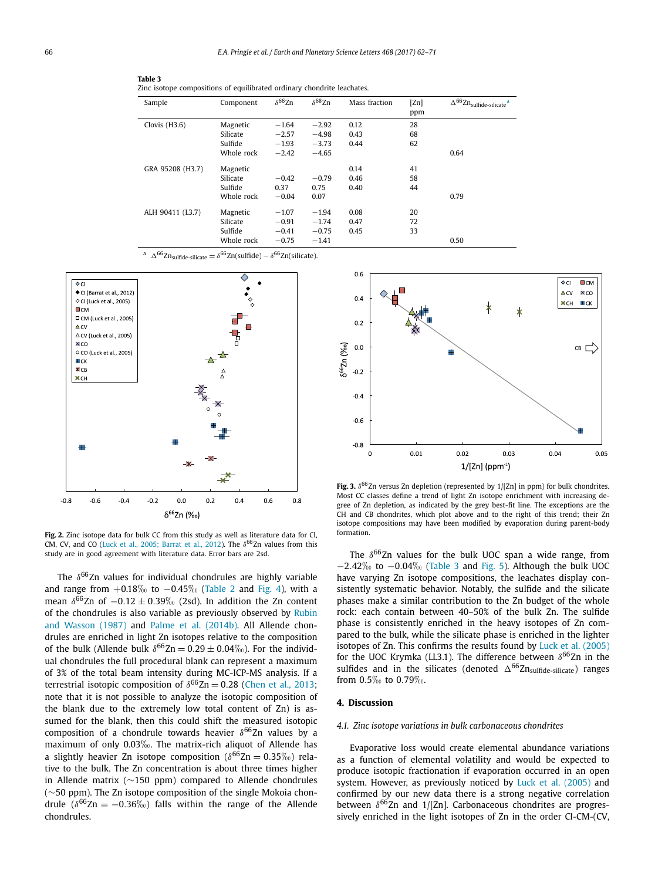| Sample           | Component  | $\delta^{66}$ Zn | $\delta^{68}$ Zn | Mass fraction | [Zn] | $\Delta^{66} \text{Zn}_{\text{sulfide-silicate}}$ <sup>a</sup> |
|------------------|------------|------------------|------------------|---------------|------|----------------------------------------------------------------|
|                  |            |                  |                  |               | ppm  |                                                                |
| Clovis $(H3.6)$  | Magnetic   | $-1.64$          | $-2.92$          | 0.12          | 28   |                                                                |
|                  | Silicate   | $-2.57$          | $-4.98$          | 0.43          | 68   |                                                                |
|                  | Sulfide    | $-1.93$          | $-3.73$          | 0.44          | 62   |                                                                |
|                  | Whole rock | $-2.42$          | $-4.65$          |               |      | 0.64                                                           |
| GRA 95208 (H3.7) | Magnetic   |                  |                  | 0.14          | 41   |                                                                |
|                  | Silicate   | $-0.42$          | $-0.79$          | 0.46          | 58   |                                                                |
|                  | Sulfide    | 0.37             | 0.75             | 0.40          | 44   |                                                                |
|                  | Whole rock | $-0.04$          | 0.07             |               |      | 0.79                                                           |
| ALH 90411 (L3.7) | Magnetic   | $-1.07$          | $-1.94$          | 0.08          | 20   |                                                                |
|                  | Silicate   | $-0.91$          | $-1.74$          | 0.47          | 72   |                                                                |
|                  | Sulfide    | $-0.41$          | $-0.75$          | 0.45          | 33   |                                                                |
|                  | Whole rock | $-0.75$          | $-1.41$          |               |      | 0.50                                                           |

<sup>a</sup>  $\Delta^{66}Zn_{\text{sulfide-silicate}} = \delta^{66}Zn(\text{sulfide}) - \delta^{66}Zn(\text{silicate}).$ 

Zinc isotope compositions of equilibrated ordinary chondrite leachates.



**Table 3**

**Fig. 2.** Zinc isotope data for bulk CC from this study as well as literature data for CI, CM, CV, and CO (Luck et al., 2005; Barrat et al., 2012). The δ<sup>66</sup>Zn values from this study are in good agreement with literature data. Error bars are 2sd.

The δ<sup>66</sup>Zn values for individual chondrules are highly variable and range from  $+0.18\%$  to  $-0.45\%$  (Table 2 and Fig. 4), with a mean  $\delta^{66}$ Zn of  $-0.12 \pm 0.39\%$  (2sd). In addition the Zn content of the chondrules is also variable as previously observed by Rubin and [Wasson \(1987\)](#page-10-0) and Palme et al. (2014b). All Allende chondrules are enriched in light Zn isotopes relative to the composition of the bulk (Allende bulk  $\delta^{66}Zn = 0.29 \pm 0.04\%$ ). For the individual chondrules the full procedural blank can represent a maximum of 3% of the total beam intensity during MC-ICP-MS analysis. If a terrestrial isotopic composition of  $\delta^{66}Zn = 0.28$  (Chen et al., 2013; note that it is not possible to analyze the isotopic composition of the blank due to the extremely low total content of Zn) is assumed for the blank, then this could shift the measured isotopic composition of a chondrule towards heavier *δ*66Zn values by a maximum of only 0.03‰. The matrix-rich aliquot of Allende has a slightly heavier Zn isotope composition ( $\delta^{66}$ Zn = 0.35‰) relative to the bulk. The Zn concentration is about three times higher in Allende matrix (∼150 ppm) compared to Allende chondrules (∼50 ppm). The Zn isotope composition of the single Mokoia chondrule ( $\delta^{66}Zn = -0.36\%$ ) falls within the range of the Allende chondrules.



**Fig. 3.**  $\delta^{66}$ Zn versus Zn depletion (represented by  $1/[Zn]$  in ppm) for bulk chondrites. Most CC classes define a trend of light Zn isotope enrichment with increasing degree of Zn depletion, as indicated by the grey best-fit line. The exceptions are the CH and CB chondrites, which plot above and to the right of this trend; their Zn isotope compositions may have been modified by evaporation during parent-body formation.

The *δ*66Zn values for the bulk UOC span a wide range, from −2.42‰ to −0.04‰ (Table 3 and Fig. 5). Although the bulk UOC have varying Zn isotope compositions, the leachates display consistently systematic behavior. Notably, the sulfide and the silicate phases make a similar contribution to the Zn budget of the whole rock: each contain between 40–50% of the bulk Zn. The sulfide phase is consistently enriched in the heavy isotopes of Zn compared to the bulk, while the silicate phase is enriched in the lighter isotopes of Zn. This confirms the results found by Luck et al. (2005) for the UOC Krymka (LL3.1). The difference between  $δ^{66}Zn$  in the sulfides and in the silicates (denoted  $\Delta^{66}Zn_{\text{sulfide-silicate}}$ ) ranges from  $0.5\%$  to  $0.79\%$ .

#### **4. Discussion**

#### *4.1. Zinc isotope variations in bulk carbonaceous chondrites*

Evaporative loss would create elemental abundance variations as a function of elemental volatility and would be expected to produce isotopic fractionation if evaporation occurred in an open system. However, as previously noticed by Luck et al. (2005) and confirmed by our new data there is a strong negative correlation between  $\delta^{66}$ Zn and 1/[Zn]. Carbonaceous chondrites are progressively enriched in the light isotopes of Zn in the order CI-CM-(CV,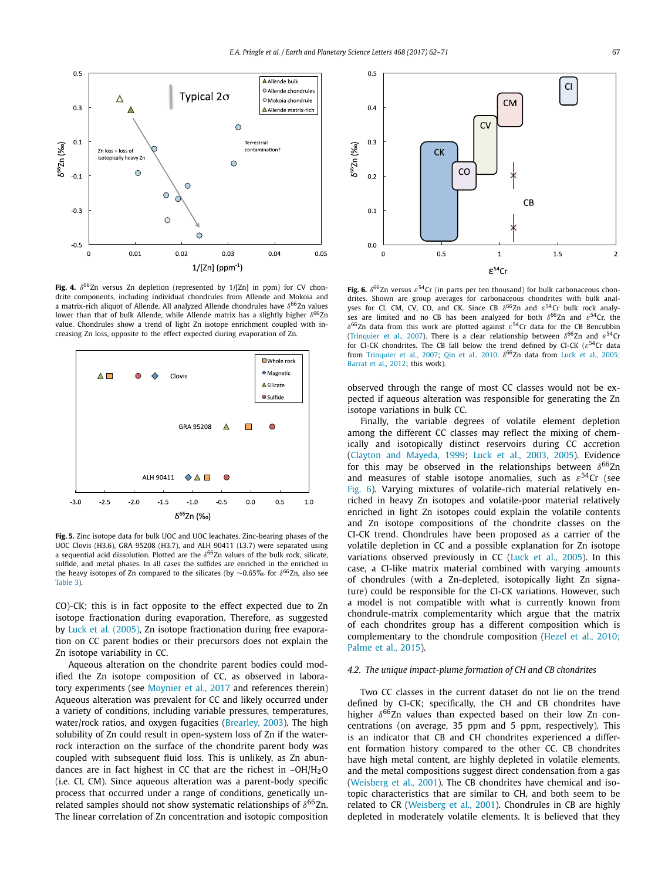

**Fig. 4.**  $\delta^{66}$ Zn versus Zn depletion (represented by  $1/[Zn]$  in ppm) for CV chondrite components, including individual chondrules from Allende and Mokoia and a matrix-rich aliquot of Allende. All analyzed Allende chondrules have *δ*66Zn values lower than that of bulk Allende, while Allende matrix has a slightly higher δ<sup>66</sup>Zn value. Chondrules show a trend of light Zn isotope enrichment coupled with increasing Zn loss, opposite to the effect expected during evaporation of Zn.



**Fig. 5.** Zinc isotope data for bulk UOC and UOC leachates. Zinc-bearing phases of the UOC Clovis (H3.6), GRA 95208 (H3.7), and ALH 90411 (L3.7) were separated using a sequential acid dissolution. Plotted are the  $\delta^{66}$ Zn values of the bulk rock, silicate, sulfide, and metal phases. In all cases the sulfides are enriched in the enriched in the heavy isotopes of Zn compared to the silicates (by ∼0.65‰ for  $\delta^{66}$ Zn, also see Table 3)

CO)-CK; this is in fact opposite to the effect expected due to Zn isotope fractionation during evaporation. Therefore, as suggested by Luck et al. (2005), Zn isotope fractionation during free evaporation on CC parent bodies or their precursors does not explain the Zn isotope variability in CC.

Aqueous alteration on the chondrite parent bodies could modified the Zn isotope composition of CC, as observed in laboratory experiments (see Moynier et al., 2017 and references therein) Aqueous alteration was prevalent for CC and likely occurred under a variety of conditions, including variable pressures, temperatures, water/rock ratios, and oxygen fugacities (Brearley, 2003). The high solubility of Zn could result in open-system loss of Zn if the waterrock interaction on the surface of the chondrite parent body was coupled with subsequent fluid loss. This is unlikely, as Zn abundances are in fact highest in CC that are the richest in  $-OH/H<sub>2</sub>O$ (i.e. CI, CM). Since aqueous alteration was a parent-body specific process that occurred under a range of conditions, genetically unrelated samples should not show systematic relationships of  $\delta^{66}$ Zn. The linear correlation of Zn concentration and isotopic composition



**Fig. 6.** *δ*66Zn versus *ε*54Cr (in parts per ten thousand) for bulk carbonaceous chondrites. Shown are group averages for carbonaceous chondrites with bulk analyses for CI, CM, CV, CO, and CK. Since CB  $\delta^{66}$ Zn and  $\varepsilon^{54}$ Cr bulk rock analyses are limited and no CB has been analyzed for both *δ*66Zn and *ε*54Cr, the *δ*66Zn data from this work are plotted against *ε*54Cr data for the CB Bencubbin (Trinquier et al., 2007). There is a clear relationship between  $\delta^{66}$ Zn and  $\varepsilon^{54}$ Cr for CI-CK chondrites. The CB fall below the trend defined by CI-CK (*ε*54Cr data from Trinquier et al., 2007; Qin et al., 2010.  $\delta^{66}$ Zn data from Luck et al., 2005; [Barrat](#page-9-0) et al., 2012; this work).

observed through the range of most CC classes would not be expected if aqueous alteration was responsible for generating the Zn isotope variations in bulk CC.

Finally, the variable degrees of volatile element depletion among the different CC classes may reflect the mixing of chemically and isotopically distinct reservoirs during CC accretion (Clayton and Mayeda, 1999; Luck et al., 2003, 2005). Evidence for this may be observed in the relationships between  $δ^{66}Zn$ and measures of stable isotope anomalies, such as *ε*54Cr (see Fig. 6). Varying mixtures of volatile-rich material relatively enriched in heavy Zn isotopes and volatile-poor material relatively enriched in light Zn isotopes could explain the volatile contents and Zn isotope compositions of the chondrite classes on the CI-CK trend. Chondrules have been proposed as a carrier of the volatile depletion in CC and a possible explanation for Zn isotope variations observed previously in CC (Luck et al., 2005). In this case, a CI-like matrix material combined with varying amounts of chondrules (with a Zn-depleted, isotopically light Zn signature) could be responsible for the CI-CK variations. However, such a model is not compatible with what is currently known from chondrule-matrix complementarity which argue that the matrix of each chondrites group has a different composition which is complementary to the chondrule composition (Hezel et al., 2010; [Palme](#page-9-0) et al., 2015).

#### *4.2. The unique impact-plume formation of CH and CB chondrites*

Two CC classes in the current dataset do not lie on the trend defined by CI-CK; specifically, the CH and CB chondrites have higher  $δ^{66}Zn$  values than expected based on their low Zn concentrations (on average, 35 ppm and 5 ppm, respectively). This is an indicator that CB and CH chondrites experienced a different formation history compared to the other CC. CB chondrites have high metal content, are highly depleted in volatile elements, and the metal compositions suggest direct condensation from a gas (Weisberg et al., 2001). The CB chondrites have chemical and isotopic characteristics that are similar to CH, and both seem to be related to CR (Weisberg et al., 2001). Chondrules in CB are highly depleted in moderately volatile elements. It is believed that they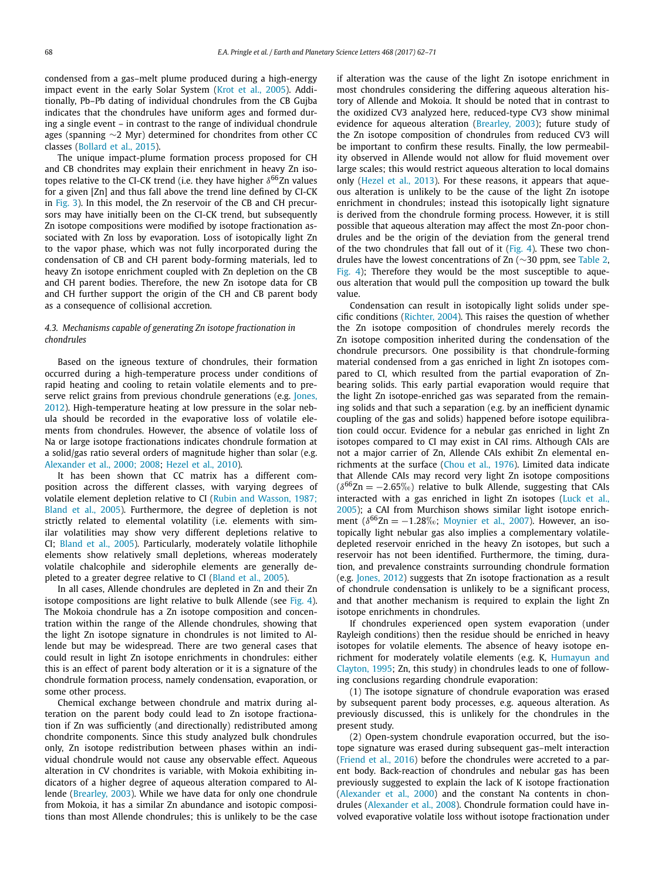condensed from a gas–melt plume produced during a high-energy impact event in the early Solar System (Krot et al., 2005). Additionally, Pb–Pb dating of individual chondrules from the CB Gujba indicates that the chondrules have uniform ages and formed during a single event – in contrast to the range of individual chondrule ages (spanning ∼2 Myr) determined for chondrites from other CC classes (Bollard et al., 2015).

The unique impact-plume formation process proposed for CH and CB chondrites may explain their enrichment in heavy Zn isotopes relative to the CI-CK trend (i.e. they have higher  $δ^{66}Zn$  values for a given [Zn] and thus fall above the trend line defined by CI-CK in Fig. 3). In this model, the Zn reservoir of the CB and CH precursors may have initially been on the CI-CK trend, but subsequently Zn isotope compositions were modified by isotope fractionation associated with Zn loss by evaporation. Loss of isotopically light Zn to the vapor phase, which was not fully incorporated during the condensation of CB and CH parent body-forming materials, led to heavy Zn isotope enrichment coupled with Zn depletion on the CB and CH parent bodies. Therefore, the new Zn isotope data for CB and CH further support the origin of the CH and CB parent body as a consequence of collisional accretion.

#### *4.3. Mechanisms capable of generating Zn isotope fractionation in chondrules*

Based on the igneous texture of chondrules, their formation occurred during a high-temperature process under conditions of rapid heating and cooling to retain volatile elements and to preserve relict grains from previous chondrule generations (e.g. Jones, [2012\)](#page-9-0). High-temperature heating at low pressure in the solar nebula should be recorded in the evaporative loss of volatile elements from chondrules. However, the absence of volatile loss of Na or large isotope fractionations indicates chondrule formation at a solid/gas ratio several orders of magnitude higher than solar (e.g. Alexander et al., 2000; 2008; Hezel et al., 2010).

It has been shown that CC matrix has a different composition across the different classes, with varying degrees of volatile element depletion relative to CI (Rubin and Wasson, 1987; [Bland](#page-10-0) et al., 2005). Furthermore, the degree of depletion is not strictly related to elemental volatility (i.e. elements with similar volatilities may show very different depletions relative to CI; Bland et al., 2005). Particularly, moderately volatile lithophile elements show relatively small depletions, whereas moderately volatile chalcophile and siderophile elements are generally depleted to a greater degree relative to CI (Bland et al., 2005).

In all cases, Allende chondrules are depleted in Zn and their Zn isotope compositions are light relative to bulk Allende (see Fig. 4). The Mokoia chondrule has a Zn isotope composition and concentration within the range of the Allende chondrules, showing that the light Zn isotope signature in chondrules is not limited to Allende but may be widespread. There are two general cases that could result in light Zn isotope enrichments in chondrules: either this is an effect of parent body alteration or it is a signature of the chondrule formation process, namely condensation, evaporation, or some other process.

Chemical exchange between chondrule and matrix during alteration on the parent body could lead to Zn isotope fractionation if Zn was sufficiently (and directionally) redistributed among chondrite components. Since this study analyzed bulk chondrules only, Zn isotope redistribution between phases within an individual chondrule would not cause any observable effect. Aqueous alteration in CV chondrites is variable, with Mokoia exhibiting indicators of a higher degree of aqueous alteration compared to Allende (Brearley, 2003). While we have data for only one chondrule from Mokoia, it has a similar Zn abundance and isotopic compositions than most Allende chondrules; this is unlikely to be the case

if alteration was the cause of the light Zn isotope enrichment in most chondrules considering the differing aqueous alteration history of Allende and Mokoia. It should be noted that in contrast to the oxidized CV3 analyzed here, reduced-type CV3 show minimal evidence for aqueous alteration (Brearley, 2003); future study of the Zn isotope composition of chondrules from reduced CV3 will be important to confirm these results. Finally, the low permeability observed in Allende would not allow for fluid movement over large scales; this would restrict aqueous alteration to local domains only (Hezel et al., 2013). For these reasons, it appears that aqueous alteration is unlikely to be the cause of the light Zn isotope enrichment in chondrules; instead this isotopically light signature is derived from the chondrule forming process. However, it is still possible that aqueous alteration may affect the most Zn-poor chondrules and be the origin of the deviation from the general trend of the two chondrules that fall out of it (Fig. 4). These two chondrules have the lowest concentrations of Zn (∼30 ppm, see Table 2, Fig. 4); Therefore they would be the most susceptible to aqueous alteration that would pull the composition up toward the bulk value.

Condensation can result in isotopically light solids under specific conditions (Richter, 2004). This raises the question of whether the Zn isotope composition of chondrules merely records the Zn isotope composition inherited during the condensation of the chondrule precursors. One possibility is that chondrule-forming material condensed from a gas enriched in light Zn isotopes compared to CI, which resulted from the partial evaporation of Znbearing solids. This early partial evaporation would require that the light Zn isotope-enriched gas was separated from the remaining solids and that such a separation (e.g. by an inefficient dynamic coupling of the gas and solids) happened before isotope equilibration could occur. Evidence for a nebular gas enriched in light Zn isotopes compared to CI may exist in CAI rims. Although CAIs are not a major carrier of Zn, Allende CAIs exhibit Zn elemental enrichments at the surface (Chou et al., 1976). Limited data indicate that Allende CAIs may record very light Zn isotope compositions  $(\delta^{66}Zn = -2.65\%)$  relative to bulk Allende, suggesting that CAIs interacted with a gas enriched in light Zn isotopes (Luck et al., [2005\)](#page-9-0); a CAI from Murchison shows similar light isotope enrichment ( $\delta^{66}$ Zn =  $-1.28\%$ ; Moynier et al., 2007). However, an isotopically light nebular gas also implies a complementary volatiledepleted reservoir enriched in the heavy Zn isotopes, but such a reservoir has not been identified. Furthermore, the timing, duration, and prevalence constraints surrounding chondrule formation (e.g. Jones, 2012) suggests that Zn isotope fractionation as a result of chondrule condensation is unlikely to be a significant process, and that another mechanism is required to explain the light Zn isotope enrichments in chondrules.

If chondrules experienced open system evaporation (under Rayleigh conditions) then the residue should be enriched in heavy isotopes for volatile elements. The absence of heavy isotope enrichment for moderately volatile elements (e.g. K, Humayun and [Clayton,](#page-9-0) 1995; Zn, this study) in chondrules leads to one of following conclusions regarding chondrule evaporation:

(1) The isotope signature of chondrule evaporation was erased by subsequent parent body processes, e.g. aqueous alteration. As previously discussed, this is unlikely for the chondrules in the present study.

(2) Open-system chondrule evaporation occurred, but the isotope signature was erased during subsequent gas–melt interaction (Friend et al., 2016) before the chondrules were accreted to a parent body. Back-reaction of chondrules and nebular gas has been previously suggested to explain the lack of K isotope fractionation (Alexander et al., 2000) and the constant Na contents in chondrules (Alexander et al., 2008). Chondrule formation could have involved evaporative volatile loss without isotope fractionation under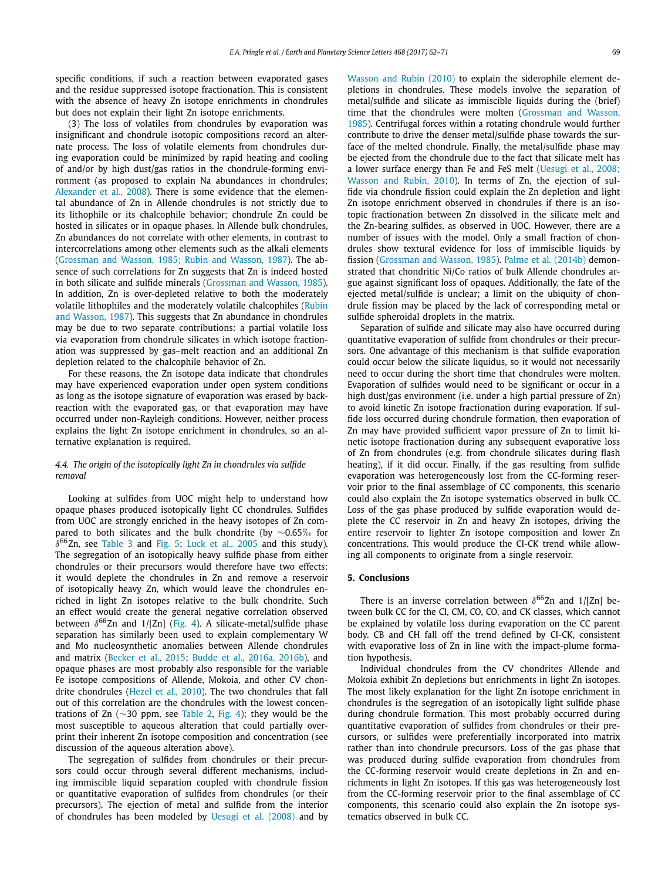specific conditions, if such a reaction between evaporated gases and the residue suppressed isotope fractionation. This is consistent with the absence of heavy Zn isotope enrichments in chondrules but does not explain their light Zn isotope enrichments.

(3) The loss of volatiles from chondrules by evaporation was insignificant and chondrule isotopic compositions record an alternate process. The loss of volatile elements from chondrules during evaporation could be minimized by rapid heating and cooling of and/or by high dust/gas ratios in the chondrule-forming environment (as proposed to explain Na abundances in chondrules; Alexander et al., 2008). There is some evidence that the elemental abundance of Zn in Allende chondrules is not strictly due to its lithophile or its chalcophile behavior; chondrule Zn could be hosted in silicates or in opaque phases. In Allende bulk chondrules, Zn abundances do not correlate with other elements, in contrast to intercorrelations among other elements such as the alkali elements (Grossman and Wasson, 1985; Rubin and Wasson, 1987). The absence of such correlations for Zn suggests that Zn is indeed hosted in both silicate and sulfide minerals (Grossman and Wasson, 1985). In addition, Zn is over-depleted relative to both the moderately volatile lithophiles and the moderately volatile chalcophiles (Rubin and [Wasson,](#page-10-0) 1987). This suggests that Zn abundance in chondrules may be due to two separate contributions: a partial volatile loss via evaporation from chondrule silicates in which isotope fractionation was suppressed by gas–melt reaction and an additional Zn depletion related to the chalcophile behavior of Zn.

For these reasons, the Zn isotope data indicate that chondrules may have experienced evaporation under open system conditions as long as the isotope signature of evaporation was erased by backreaction with the evaporated gas, or that evaporation may have occurred under non-Rayleigh conditions. However, neither process explains the light Zn isotope enrichment in chondrules, so an alternative explanation is required.

#### *4.4. The origin of the isotopically light Zn in chondrules via sulfide removal*

Looking at sulfides from UOC might help to understand how opaque phases produced isotopically light CC chondrules. Sulfides from UOC are strongly enriched in the heavy isotopes of Zn compared to both silicates and the bulk chondrite (by  $\sim$ 0.65‰ for  $\delta^{66}$ Zn, see Table 3 and Fig. 5; Luck et al., 2005 and this study). The segregation of an isotopically heavy sulfide phase from either chondrules or their precursors would therefore have two effects: it would deplete the chondrules in Zn and remove a reservoir of isotopically heavy Zn, which would leave the chondrules enriched in light Zn isotopes relative to the bulk chondrite. Such an effect would create the general negative correlation observed between  $\delta^{66}$ Zn and 1/[Zn] (Fig. 4). A silicate-metal/sulfide phase separation has similarly been used to explain complementary W and Mo nucleosynthetic anomalies between Allende chondrules and matrix (Becker et al., 2015; Budde et al., 2016a, 2016b), and opaque phases are most probably also responsible for the variable Fe isotope compositions of Allende, Mokoia, and other CV chondrite chondrules (Hezel et al., 2010). The two chondrules that fall out of this correlation are the chondrules with the lowest concentrations of Zn (∼30 ppm, see Table 2, Fig. 4); they would be the most susceptible to aqueous alteration that could partially overprint their inherent Zn isotope composition and concentration (see discussion of the aqueous alteration above).

The segregation of sulfides from chondrules or their precursors could occur through several different mechanisms, including immiscible liquid separation coupled with chondrule fission or quantitative evaporation of sulfides from chondrules (or their precursors). The ejection of metal and sulfide from the interior of chondrules has been modeled by Uesugi et al. (2008) and by Wasson and Rubin (2010) to explain the siderophile element depletions in chondrules. These models involve the separation of metal/sulfide and silicate as immiscible liquids during the (brief) time that the chondrules were molten (Grossman and Wasson, [1985\)](#page-9-0). Centrifugal forces within a rotating chondrule would further contribute to drive the denser metal/sulfide phase towards the surface of the melted chondrule. Finally, the metal/sulfide phase may be ejected from the chondrule due to the fact that silicate melt has a lower surface energy than Fe and FeS melt (Uesugi et al., 2008; [Wasson](#page-10-0) and Rubin, 2010). In terms of Zn, the ejection of sulfide via chondrule fission could explain the Zn depletion and light Zn isotope enrichment observed in chondrules if there is an isotopic fractionation between Zn dissolved in the silicate melt and the Zn-bearing sulfides, as observed in UOC. However, there are a number of issues with the model. Only a small fraction of chondrules show textural evidence for loss of immiscible liquids by fission (Grossman and Wasson, 1985). Palme et al. (2014b) demonstrated that chondritic Ni/Co ratios of bulk Allende chondrules argue against significant loss of opaques. Additionally, the fate of the ejected metal/sulfide is unclear; a limit on the ubiquity of chondrule fission may be placed by the lack of corresponding metal or sulfide spheroidal droplets in the matrix.

Separation of sulfide and silicate may also have occurred during quantitative evaporation of sulfide from chondrules or their precursors. One advantage of this mechanism is that sulfide evaporation could occur below the silicate liquidus, so it would not necessarily need to occur during the short time that chondrules were molten. Evaporation of sulfides would need to be significant or occur in a high dust/gas environment (i.e. under a high partial pressure of Zn) to avoid kinetic Zn isotope fractionation during evaporation. If sulfide loss occurred during chondrule formation, then evaporation of Zn may have provided sufficient vapor pressure of Zn to limit kinetic isotope fractionation during any subsequent evaporative loss of Zn from chondrules (e.g. from chondrule silicates during flash heating), if it did occur. Finally, if the gas resulting from sulfide evaporation was heterogeneously lost from the CC-forming reservoir prior to the final assemblage of CC components, this scenario could also explain the Zn isotope systematics observed in bulk CC. Loss of the gas phase produced by sulfide evaporation would deplete the CC reservoir in Zn and heavy Zn isotopes, driving the entire reservoir to lighter Zn isotope composition and lower Zn concentrations. This would produce the CI-CK trend while allowing all components to originate from a single reservoir.

#### **5. Conclusions**

There is an inverse correlation between  $\delta^{66}$ Zn and 1/[Zn] between bulk CC for the CI, CM, CO, CO, and CK classes, which cannot be explained by volatile loss during evaporation on the CC parent body. CB and CH fall off the trend defined by CI-CK, consistent with evaporative loss of Zn in line with the impact-plume formation hypothesis.

Individual chondrules from the CV chondrites Allende and Mokoia exhibit Zn depletions but enrichments in light Zn isotopes. The most likely explanation for the light Zn isotope enrichment in chondrules is the segregation of an isotopically light sulfide phase during chondrule formation. This most probably occurred during quantitative evaporation of sulfides from chondrules or their precursors, or sulfides were preferentially incorporated into matrix rather than into chondrule precursors. Loss of the gas phase that was produced during sulfide evaporation from chondrules from the CC-forming reservoir would create depletions in Zn and enrichments in light Zn isotopes. If this gas was heterogeneously lost from the CC-forming reservoir prior to the final assemblage of CC components, this scenario could also explain the Zn isotope systematics observed in bulk CC.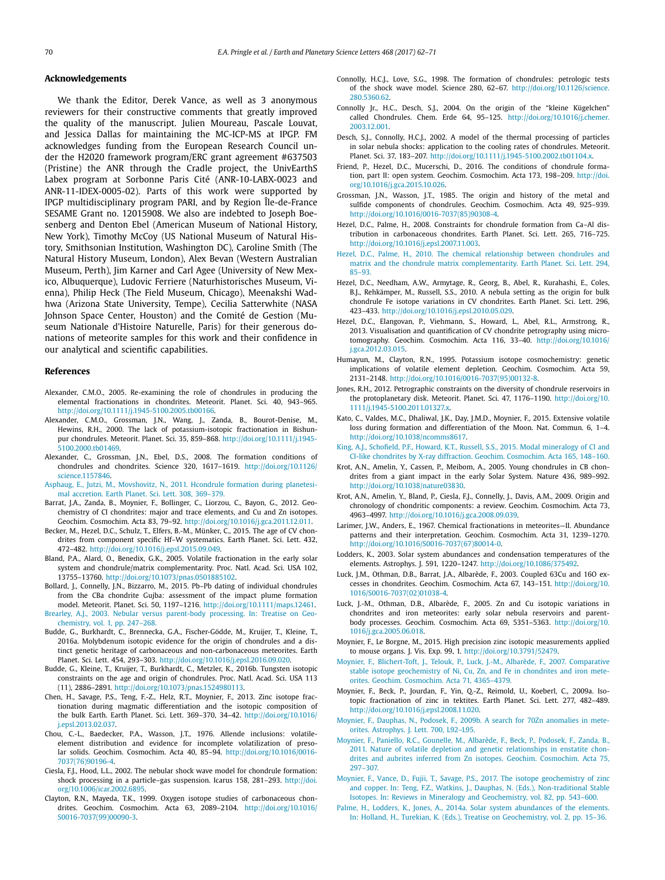#### <span id="page-9-0"></span>**Acknowledgements**

We thank the Editor, Derek Vance, as well as 3 anonymous reviewers for their constructive comments that greatly improved the quality of the manuscript. Julien Moureau, Pascale Louvat, and Jessica Dallas for maintaining the MC-ICP-MS at IPGP. FM acknowledges funding from the European Research Council under the H2020 framework program/ERC grant agreement #637503 (Pristine) the ANR through the Cradle project, the UnivEarthS Labex program at Sorbonne Paris Cité (ANR-10-LABX-0023 and ANR-11-IDEX-0005-02). Parts of this work were supported by IPGP multidisciplinary program PARI, and by Region Île-de-France SESAME Grant no. 12015908. We also are indebted to Joseph Boesenberg and Denton Ebel (American Museum of National History, New York), Timothy McCoy (US National Museum of Natural History, Smithsonian Institution, Washington DC), Caroline Smith (The Natural History Museum, London), Alex Bevan (Western Australian Museum, Perth), Jim Karner and Carl Agee (University of New Mexico, Albuquerque), Ludovic Ferriere (Naturhistorisches Museum, Vienna), Philip Heck (The Field Museum, Chicago), Meenakshi Wadhwa (Arizona State University, Tempe), Cecilia Satterwhite (NASA Johnson Space Center, Houston) and the Comité de Gestion (Museum Nationale d'Histoire Naturelle, Paris) for their generous donations of meteorite samples for this work and their confidence in our analytical and scientific capabilities.

#### **References**

- Alexander, C.M.O., 2005. Re-examining the role of chondrules in producing the elemental fractionations in chondrites. Meteorit. Planet. Sci. 40, 943–965. [http://doi.org/10.1111/j.1945-5100.2005.tb00166.](http://doi.org/10.1111/j.1945-5100.2005.tb00166)
- Alexander, C.M.O., Grossman, J.N., Wang, J., Zanda, B., Bourot-Denise, M., Hewins, R.H., 2000. The lack of potassium-isotopic fractionation in Bishunpur chondrules. Meteorit. Planet. Sci. 35, 859–868. [http://doi.org/10.1111/j.1945-](http://doi.org/10.1111/j.1945-5100.2000.tb01469) [5100.2000.tb01469](http://doi.org/10.1111/j.1945-5100.2000.tb01469).
- Alexander, C., Grossman, J.N., Ebel, D.S., 2008. The formation conditions of chondrules and chondrites. Science 320, 1617–1619. [http://doi.org/10.1126/](http://doi.org/10.1126/science.1157846) [science.1157846.](http://doi.org/10.1126/science.1157846)
- Asphaug, E., Jutzi, M., [Movshovitz,](http://refhub.elsevier.com/S0012-821X(17)30181-4/bib4173706574616C32303131s1) N., 2011. Hcondrule formation during planetesimal [accretion.](http://refhub.elsevier.com/S0012-821X(17)30181-4/bib4173706574616C32303131s1) Earth Planet. Sci. Lett. 308, 369–379.
- Barrat, J.A., Zanda, B., Moynier, F., Bollinger, C., Liorzou, C., Bayon, G., 2012. Geochemistry of CI chondrites: major and trace elements, and Cu and Zn isotopes. Geochim. Cosmochim. Acta 83, 79–92. <http://doi.org/10.1016/j.gca.2011.12.011>.
- Becker, M., Hezel, D.C., Schulz, T., Elfers, B.-M., Münker, C., 2015. The age of CV chondrites from component specific Hf–W systematics. Earth Planet. Sci. Lett. 432, 472–482. <http://doi.org/10.1016/j.epsl.2015.09.049>.
- Bland, P.A., Alard, O., Benedix, G.K., 2005. Volatile fractionation in the early solar system and chondrule/matrix complementarity. Proc. Natl. Acad. Sci. USA 102, 13755–13760. [http://doi.org/10.1073/pnas.0501885102.](http://doi.org/10.1073/pnas.0501885102)
- Bollard, J., Connelly, J.N., Bizzarro, M., 2015. Pb–Pb dating of individual chondrules from the CBa chondrite Gujba: assessment of the impact plume formation model. Meteorit. Planet. Sci. 50, 1197–1216. [http://doi.org/10.1111/maps.12461.](http://doi.org/10.1111/maps.12461)
- Brearley, A.J., 2003. Nebular versus [parent-body](http://refhub.elsevier.com/S0012-821X(17)30181-4/bib42726532303033s1) processing. In: Treatise on Geochemistry, vol. 1, [pp. 247–268.](http://refhub.elsevier.com/S0012-821X(17)30181-4/bib42726532303033s1)
- Budde, G., Burkhardt, C., Brennecka, G.A., Fischer-Gödde, M., Kruijer, T., Kleine, T., 2016a. Molybdenum isotopic evidence for the origin of chondrules and a distinct genetic heritage of carbonaceous and non-carbonaceous meteorites. Earth Planet. Sci. Lett. 454, 293–303. <http://doi.org/10.1016/j.epsl.2016.09.020>.
- Budde, G., Kleine, T., Kruijer, T., Burkhardt, C., Metzler, K., 2016b. Tungsten isotopic constraints on the age and origin of chondrules. Proc. Natl. Acad. Sci. USA 113 (11), 2886–2891. <http://doi.org/10.1073/pnas.1524980113>.
- Chen, H., Savage, P.S., Teng, F.-Z., Helz, R.T., Moynier, F., 2013. Zinc isotope fractionation during magmatic differentiation and the isotopic composition of the bulk Earth. Earth Planet. Sci. Lett. 369–370, 34–42. [http://doi.org/10.1016/](http://doi.org/10.1016/j.epsl.2013.02.037) [j.epsl.2013.02.037.](http://doi.org/10.1016/j.epsl.2013.02.037)
- Chou, C.-L., Baedecker, P.A., Wasson, J.T., 1976. Allende inclusions: volatileelement distribution and evidence for incomplete volatilization of presolar solids. Geochim. Cosmochim. Acta 40, 85–94. [http://doi.org/10.1016/0016-](http://doi.org/10.1016/0016-7037(76)90196-4) [7037\(76\)90196-4](http://doi.org/10.1016/0016-7037(76)90196-4).
- Ciesla, F.J., Hood, L.L., 2002. The nebular shock wave model for chondrule formation: shock processing in a particle–gas suspension. Icarus 158, 281–293. [http://doi.](http://doi.org/10.1006/icar.2002.6895) [org/10.1006/icar.2002.6895.](http://doi.org/10.1006/icar.2002.6895)
- Clayton, R.N., Mayeda, T.K., 1999. Oxygen isotope studies of carbonaceous chondrites. Geochim. Cosmochim. Acta 63, 2089–2104. [http://doi.org/10.1016/](http://doi.org/10.1016/S0016-7037(99)00090-3) [S0016-7037\(99\)00090-3.](http://doi.org/10.1016/S0016-7037(99)00090-3)
- Connolly, H.C.J., Love, S.G., 1998. The formation of chondrules: petrologic tests of the shock wave model. Science 280, 62–67. [http://doi.org/10.1126/science.](http://doi.org/10.1126/science.280.5360.62) [280.5360.62.](http://doi.org/10.1126/science.280.5360.62)
- Connolly Jr., H.C., Desch, S.J., 2004. On the origin of the "kleine Kügelchen" called Chondrules. Chem. Erde 64, 95–125. [http://doi.org/10.1016/j.chemer.](http://doi.org/10.1016/j.chemer.2003.12.001) [2003.12.001](http://doi.org/10.1016/j.chemer.2003.12.001).
- Desch, S.J., Connolly, H.C.J., 2002. A model of the thermal processing of particles in solar nebula shocks: application to the cooling rates of chondrules. Meteorit. Planet. Sci. 37, 183–207. [http://doi.org/10.1111/j.1945-5100.2002.tb01104.x.](http://doi.org/10.1111/j.1945-5100.2002.tb01104.x)
- Friend, P., Hezel, D.C., Mucerschi, D., 2016. The conditions of chondrule formation, part II: open system. Geochim. Cosmochim. Acta 173, 198–209. [http://doi.](http://doi.org/10.1016/j.gca.2015.10.026) [org/10.1016/j.gca.2015.10.026](http://doi.org/10.1016/j.gca.2015.10.026).
- Grossman, J.N., Wasson, J.T., 1985. The origin and history of the metal and sulfide components of chondrules. Geochim. Cosmochim. Acta 49, 925–939. [http://doi.org/10.1016/0016-7037\(85\)90308-4](http://doi.org/10.1016/0016-7037(85)90308-4).
- Hezel, D.C., Palme, H., 2008. Constraints for chondrule formation from Ca–Al distribution in carbonaceous chondrites. Earth Planet. Sci. Lett. 265, 716–725. [http://doi.org/10.1016/j.epsl.2007.11.003.](http://doi.org/10.1016/j.epsl.2007.11.003)
- Hezel, D.C., Palme, H., 2010. The chemical [relationship](http://refhub.elsevier.com/S0012-821X(17)30181-4/bib48657A50616C32303130s1) between chondrules and matrix and the chondrule matrix [complementarity.](http://refhub.elsevier.com/S0012-821X(17)30181-4/bib48657A50616C32303130s1) Earth Planet. Sci. Lett. 294, [85–93.](http://refhub.elsevier.com/S0012-821X(17)30181-4/bib48657A50616C32303130s1)
- Hezel, D.C., Needham, A.W., Armytage, R., Georg, B., Abel, R., Kurahashi, E., Coles, B.J., Rehkämper, M., Russell, S.S., 2010. A nebula setting as the origin for bulk chondrule Fe isotope variations in CV chondrites. Earth Planet. Sci. Lett. 296, 423–433. <http://doi.org/10.1016/j.epsl.2010.05.029>.
- Hezel, D.C., Elangovan, P., Viehmann, S., Howard, L., Abel, R.L., Armstrong, R., 2013. Visualisation and quantification of CV chondrite petrography using microtomography. Geochim. Cosmochim. Acta 116, 33–40. [http://doi.org/10.1016/](http://doi.org/10.1016/j.gca.2012.03.015) [j.gca.2012.03.015](http://doi.org/10.1016/j.gca.2012.03.015).
- Humayun, M., Clayton, R.N., 1995. Potassium isotope cosmochemistry: genetic implications of volatile element depletion. Geochim. Cosmochim. Acta 59, 2131–2148. [http://doi.org/10.1016/0016-7037\(95\)00132-8](http://doi.org/10.1016/0016-7037(95)00132-8).
- Jones, R.H., 2012. Petrographic constraints on the diversity of chondrule reservoirs in the protoplanetary disk. Meteorit. Planet. Sci. 47, 1176–1190. [http://doi.org/10.](http://doi.org/10.1111/j.1945-5100.2011.01327.x) [1111/j.1945-5100.2011.01327.x](http://doi.org/10.1111/j.1945-5100.2011.01327.x).
- Kato, C., Valdes, M.C., Dhaliwal, J.K., Day, J.M.D., Moynier, F., 2015. Extensive volatile loss during formation and differentiation of the Moon. Nat. Commun. 6, 1–4. <http://doi.org/10.1038/ncomms8617>.
- King, A.J., Schofield, P.F., Howard, K.T., Russell, S.S., 2015. Modal [mineralogy](http://refhub.elsevier.com/S0012-821X(17)30181-4/bib4B696E6574616C32303135s1) of CI and CI-like chondrites by X-ray diffraction. Geochim. [Cosmochim.](http://refhub.elsevier.com/S0012-821X(17)30181-4/bib4B696E6574616C32303135s1) Acta 165, 148–160.
- Krot, A.N., Amelin, Y., Cassen, P., Meibom, A., 2005. Young chondrules in CB chondrites from a giant impact in the early Solar System. Nature 436, 989–992. <http://doi.org/10.1038/nature03830>.
- Krot, A.N., Amelin, Y., Bland, P., Ciesla, F.J., Connelly, J., Davis, A.M., 2009. Origin and chronology of chondritic components: a review. Geochim. Cosmochim. Acta 73, 4963–4997. [http://doi.org/10.1016/j.gca.2008.09.039.](http://doi.org/10.1016/j.gca.2008.09.039)
- Larimer, J.W., Anders, E., 1967. Chemical fractionations in meteorites—II. Abundance patterns and their interpretation. Geochim. Cosmochim. Acta 31, 1239–1270. [http://doi.org/10.1016/S0016-7037\(67\)80014-0.](http://doi.org/10.1016/S0016-7037(67)80014-0)
- Lodders, K., 2003. Solar system abundances and condensation temperatures of the elements. Astrophys. J. 591, 1220–1247. <http://doi.org/10.1086/375492>.
- Luck, J.M., Othman, D.B., Barrat, J.A., Albarède, F., 2003. Coupled 63Cu and 16O excesses in chondrites. Geochim. Cosmochim. Acta 67, 143–151. [http://doi.org/10.](http://doi.org/10.1016/S0016-7037(02)01038-4) [1016/S0016-7037\(02\)01038-4.](http://doi.org/10.1016/S0016-7037(02)01038-4)
- Luck, J.-M., Othman, D.B., Albarède, F., 2005. Zn and Cu isotopic variations in chondrites and iron meteorites: early solar nebula reservoirs and parentbody processes. Geochim. Cosmochim. Acta 69, 5351–5363. [http://doi.org/10.](http://doi.org/10.1016/j.gca.2005.06.018) [1016/j.gca.2005.06.018](http://doi.org/10.1016/j.gca.2005.06.018).
- Moynier, F., Le Borgne, M., 2015. High precision zinc isotopic measurements applied to mouse organs. J. Vis. Exp. 99, 1. [http://doi.org/10.3791/52479.](http://doi.org/10.3791/52479)
- Moynier, F., [Blichert-Toft,](http://refhub.elsevier.com/S0012-821X(17)30181-4/bib4D6F796574616C32303037s1) J., Telouk, P., Luck, J.-M., Albarède, F., 2007. Comparative stable isotope [geochemistry](http://refhub.elsevier.com/S0012-821X(17)30181-4/bib4D6F796574616C32303037s1) of Ni, Cu, Zn, and Fe in chondrites and iron meteorites. Geochim. [Cosmochim.](http://refhub.elsevier.com/S0012-821X(17)30181-4/bib4D6F796574616C32303037s1) Acta 71, 4365–4379.
- Moynier, F., Beck, P., Jourdan, F., Yin, Q.-Z., Reimold, U., Koeberl, C., 2009a. Isotopic fractionation of zinc in tektites. Earth Planet. Sci. Lett. 277, 482–489. <http://doi.org/10.1016/j.epsl.2008.11.020>.
- Moynier, F., Dauphas, N., Podosek, F., 2009b. A search for 70Zn [anomalies](http://refhub.elsevier.com/S0012-821X(17)30181-4/bib4D6F796574616C3230303962s1) in meteorites. [Astrophys.](http://refhub.elsevier.com/S0012-821X(17)30181-4/bib4D6F796574616C3230303962s1) J. Lett. 700, L92–L95.
- Moynier, F., Paniello, R.C., [Gounelle,](http://refhub.elsevier.com/S0012-821X(17)30181-4/bib4D6F796574616C32303131s1) M., Albarède, F., Beck, P., Podosek, F., Zanda, B., 2011. Nature of volatile depletion and genetic [relationships](http://refhub.elsevier.com/S0012-821X(17)30181-4/bib4D6F796574616C32303131s1) in enstatite chondrites and aubrites inferred from Zn isotopes. Geochim. [Cosmochim.](http://refhub.elsevier.com/S0012-821X(17)30181-4/bib4D6F796574616C32303131s1) Acta 75, [297–307.](http://refhub.elsevier.com/S0012-821X(17)30181-4/bib4D6F796574616C32303131s1)
- Moynier, F., Vance, D., Fujii, T., Savage, P.S., 2017. The isotope [geochemistry](http://refhub.elsevier.com/S0012-821X(17)30181-4/bib4D6F796574616C32303137s1) of zinc and copper. In: Teng, F.Z., Watkins, J., Dauphas, N. (Eds.), [Non-traditional](http://refhub.elsevier.com/S0012-821X(17)30181-4/bib4D6F796574616C32303137s1) Stable Isotopes. In: Reviews in Mineralogy and [Geochemistry,](http://refhub.elsevier.com/S0012-821X(17)30181-4/bib4D6F796574616C32303137s1) vol. 82, pp. 543–600.
- Palme, H., Lodders, K., Jones, A., 2014a. Solar system [abundances](http://refhub.elsevier.com/S0012-821X(17)30181-4/bib50616C6574616C3230313461s1) of the elements. In: Holland, H., Turekian, K. (Eds.), Treatise on [Geochemistry,](http://refhub.elsevier.com/S0012-821X(17)30181-4/bib50616C6574616C3230313461s1) vol. 2, pp. 15–36.